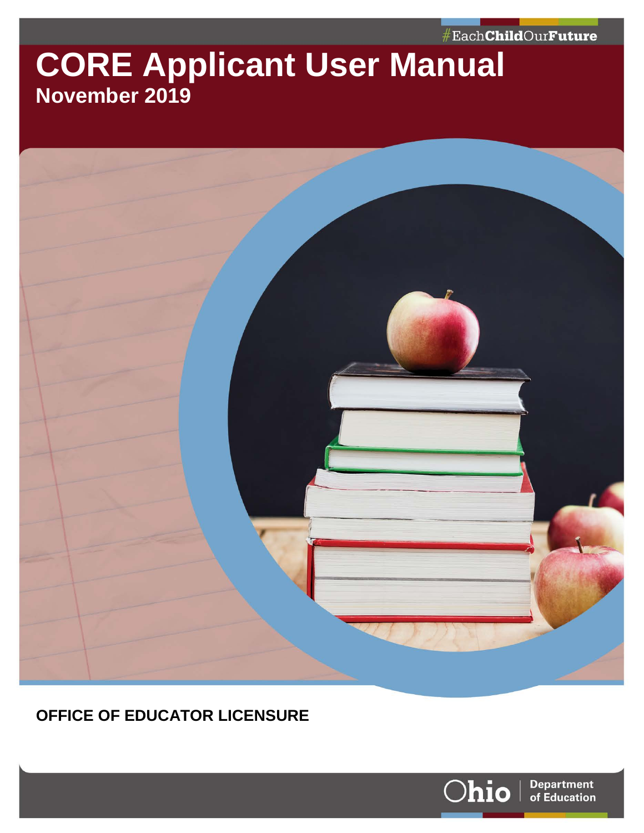#EachChildOurFuture

# **CORE Applicant User Manual November 2019**



### **OFFICE OF EDUCATOR LICENSURE**

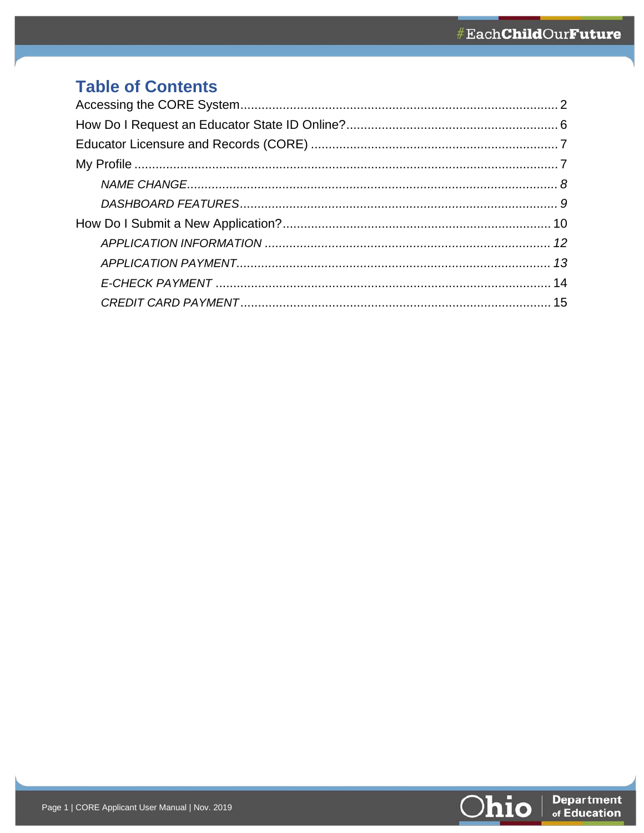# **Table of Contents**

<span id="page-1-0"></span>

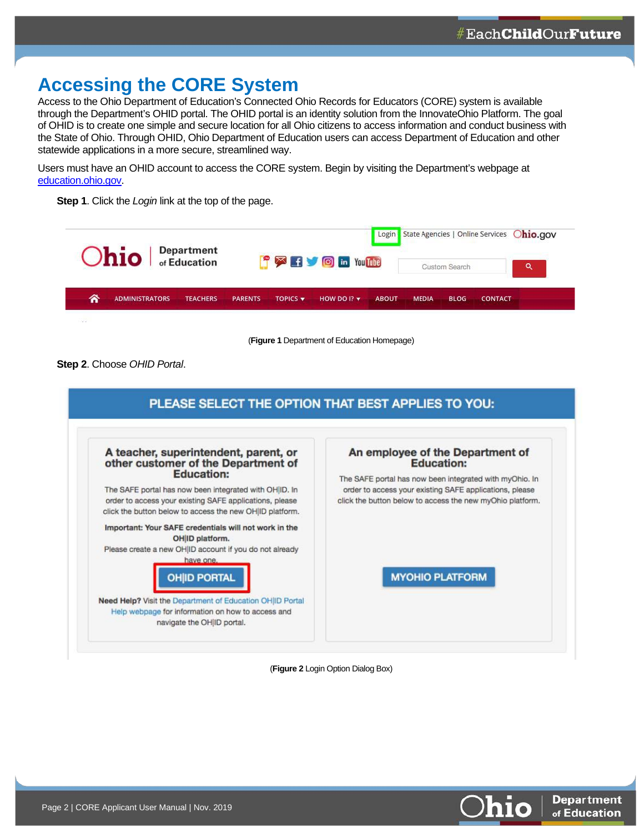## **Accessing the CORE System**

Access to the Ohio Department of Education's Connected Ohio Records for Educators (CORE) system is available through the Department's OHID portal. The OHID portal is an identity solution from the InnovateOhio Platform. The goal of OHID is to create one simple and secure location for all Ohio citizens to access information and conduct business with the State of Ohio. Through OHID, Ohio Department of Education users can access Department of Education and other statewide applications in a more secure, streamlined way.

Users must have an OHID account to access the CORE system. Begin by visiting the Department's webpage at [education.ohio.gov.](http://www.education.ohio.gov/) 

**Step 1**. Click the *Login* link at the top of the page.



(**Figure 1** Department of Education Homepage)

**Step 2**. Choose *OHID Portal*.

| A teacher, superintendent, parent, or<br>other customer of the Department of<br><b>Education:</b>                                                                             | An employee of the Department of<br><b>Education:</b><br>The SAFE portal has now been integrated with myOhio. In     |
|-------------------------------------------------------------------------------------------------------------------------------------------------------------------------------|----------------------------------------------------------------------------------------------------------------------|
| The SAFE portal has now been integrated with OH ID. In<br>order to access your existing SAFE applications, please<br>click the button below to access the new OH ID platform. | order to access your existing SAFE applications, please<br>click the button below to access the new myOhio platform. |
| Important: Your SAFE credentials will not work in the<br>OH ID platform.<br>Please create a new OH ID account if you do not already                                           |                                                                                                                      |
| have one.<br><b>OHID PORTAL</b>                                                                                                                                               | <b>MYOHIO PLATFORM</b>                                                                                               |
| Need Help? Visit the Department of Education OH ID Portal<br>Help webpage for information on how to access and<br>navigate the OH ID portal.                                  |                                                                                                                      |

(**Figure 2** Login Option Dialog Box)

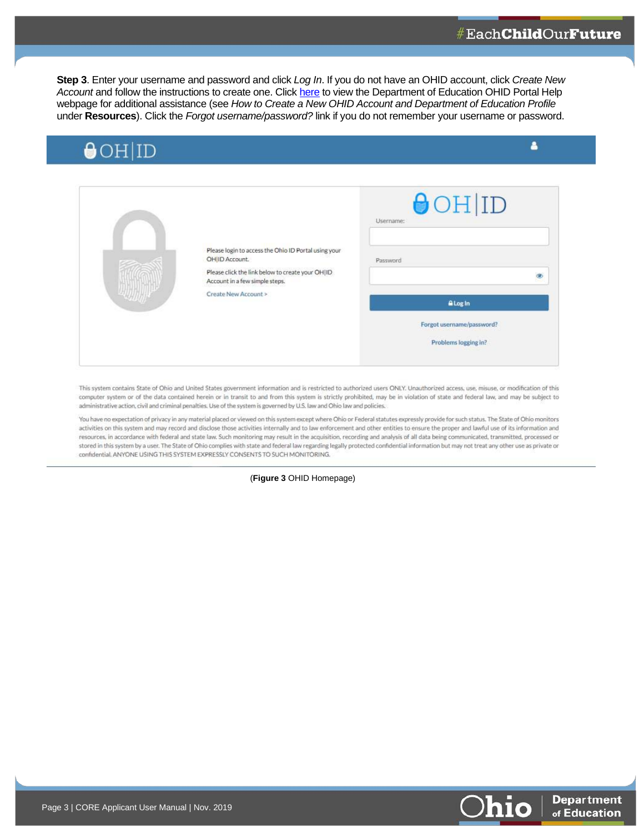**Step 3**. Enter your username and password and click *Log In*. If you do not have an OHID account, click *Create New*  Account and follow the instructions to create one. Click [here](http://education.ohio.gov/Topics/Department-of-Education-OH-ID-Portal-Help#loginhttp://education.ohio.gov/Topics/Department-of-Education-OH-ID-Portal-Help) to view the Department of Education OHID Portal Help webpage for additional assistance (see *How to Create a New OHID Account and Department of Education Profile* under **Resources**). Click the *Forgot username/password?* link if you do not remember your username or password.

| <b>AOHID</b><br><u> De Santa de la Caracción de la caracción de la caracción de la caracción de la caracción de la caracción de la caracción de la caracción de la caracción de la caracción de la caracción de la caracción de la caracción de </u> |  |
|------------------------------------------------------------------------------------------------------------------------------------------------------------------------------------------------------------------------------------------------------|--|

|      |                                                                                    | $\Theta$ OH ID<br>Username: |
|------|------------------------------------------------------------------------------------|-----------------------------|
|      | Please login to access the Ohio ID Portal using your<br>OH ID Account.             | Password                    |
|      | Please click the link below to create your OH ID<br>Account in a few simple steps. |                             |
| 441M | Create New Account >                                                               | <b>ALog In</b>              |
|      |                                                                                    | Forgot username/password?   |
|      |                                                                                    | Problems logging in?        |

This system contains State of Ohio and United States government information and is restricted to authorized users ONLY. Unauthorized access, use, misuse, or modification of this computer system or of the data contained herein or in transit to and from this system is strictly prohibited, may be in violation of state and federal law, and may be subject to administrative action, civil and criminal penalties. Use of the system is governed by U.S. law and Ohio law and policies.

You have no expectation of privacy in any material placed or viewed on this system except where Ohio or Federal statutes expressly provide for such status. The State of Ohio monitors activities on this system and may record and disclose those activities internally and to law enforcement and other entities to ensure the proper and lawful use of its information and resources, in accordance with federal and state law. Such monitoring may result in the acquisition, recording and analysis of all data being communicated, transmitted, processed or stored in this system by a user. The State of Ohio complies with state and federal law regarding legally protected confidential information but may not treat any other use as private or confidential. ANYONE USING THIS SYSTEM EXPRESSLY CONSENTS TO SUCH MONITORING.

(**Figure 3** OHID Homepage)

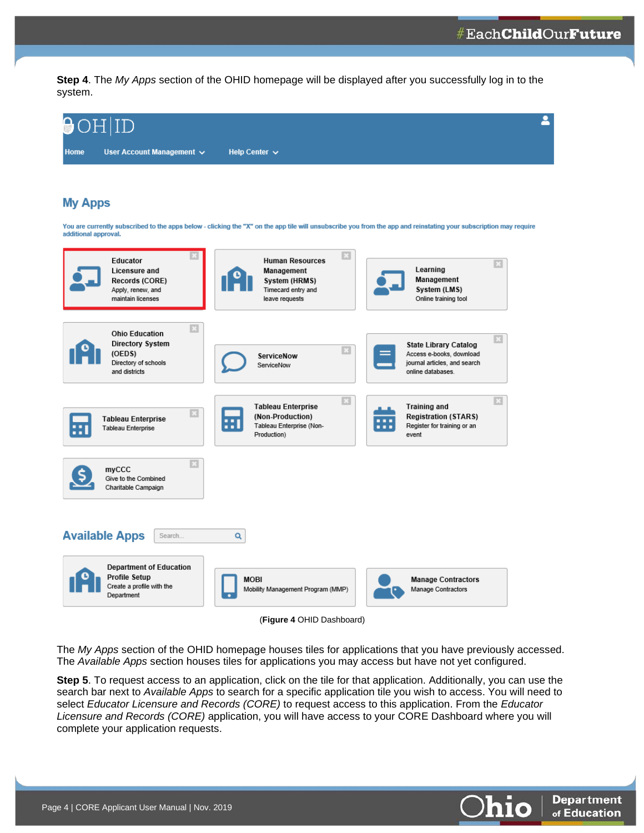**Step 4**. The *My Apps* section of the OHID homepage will be displayed after you successfully log in to the system.

| Đ<br>OH ID                                                                                                |                                                                                                               |                                                                                                                                                                   |
|-----------------------------------------------------------------------------------------------------------|---------------------------------------------------------------------------------------------------------------|-------------------------------------------------------------------------------------------------------------------------------------------------------------------|
| User Account Management $\sim$<br>Home                                                                    | Help Center $\vee$                                                                                            |                                                                                                                                                                   |
| <b>My Apps</b>                                                                                            |                                                                                                               |                                                                                                                                                                   |
| additional approval.                                                                                      |                                                                                                               | You are currently subscribed to the apps below - clicking the "X" on the app tile will unsubscribe you from the app and reinstating your subscription may require |
| Educator<br>Licensure and<br>Records (CORE)<br>Apply, renew, and<br>maintain licenses                     | <b>Human Resources</b><br>Management<br>System (HRMS)<br>Timecard entry and<br>leave requests                 | B<br>Learning<br>Management<br>System (LMS)<br>Online training tool                                                                                               |
| 33<br><b>Ohio Education</b><br><b>Directory System</b><br>(OEDS)<br>Directory of schools<br>and districts | ServiceNow<br>ServiceNow                                                                                      | $\mathbf{x}$<br><b>State Library Catalog</b><br>Access e-books, download<br>journal articles, and search<br>online databases.                                     |
| $\mathbb{R}$<br><b>Tableau Enterprise</b><br>Tableau Enterprise                                           | $\mathbf{x}$<br><b>Tableau Enterprise</b><br>(Non-Production)<br>ш<br>Tableau Enterprise (Non-<br>Production) | FЗ<br><b>Training and</b><br><b>Registration (STARS)</b><br>Register for training or an<br>.<br>event                                                             |
| $\overline{\mathbb{E}}$<br>myCCC<br>Give to the Combined<br>Charitable Campaign                           |                                                                                                               |                                                                                                                                                                   |
| <b>Available Apps</b><br>Search                                                                           | Q                                                                                                             |                                                                                                                                                                   |
| <b>Department of Education</b><br><b>Profile Setup</b><br>Create a profile with the<br>Department         | <b>MOBI</b><br>Mobility Management Program (MMP)                                                              | <b>Manage Contractors</b><br>Manage Contractors                                                                                                                   |
|                                                                                                           | (Figure 4 OHID Dashboard)                                                                                     |                                                                                                                                                                   |

The *My Apps* section of the OHID homepage houses tiles for applications that you have previously accessed. The *Available Apps* section houses tiles for applications you may access but have not yet configured.

**Step 5**. To request access to an application, click on the tile for that application. Additionally, you can use the search bar next to *Available Apps* to search for a specific application tile you wish to access. You will need to select *Educator Licensure and Records (CORE)* to request access to this application. From the *Educator Licensure and Records (CORE)* application, you will have access to your CORE Dashboard where you will complete your application requests.

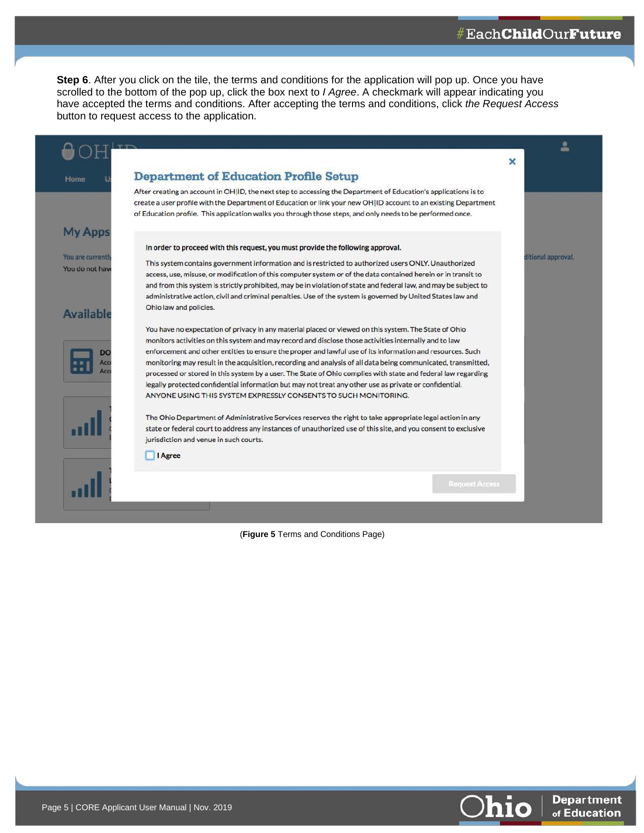**Step 6**. After you click on the tile, the terms and conditions for the application will pop up. Once you have scrolled to the bottom of the pop up, click the box next to *I Agree*. A checkmark will appear indicating you have accepted the terms and conditions. After accepting the terms and conditions, click *the Request Access* button to request access to the application.

|                                                   |                                                                                                                                                                                                                                                                                                                                                                                                                                                                                                                                                                                                                                                                                                                                            | × |                    |
|---------------------------------------------------|--------------------------------------------------------------------------------------------------------------------------------------------------------------------------------------------------------------------------------------------------------------------------------------------------------------------------------------------------------------------------------------------------------------------------------------------------------------------------------------------------------------------------------------------------------------------------------------------------------------------------------------------------------------------------------------------------------------------------------------------|---|--------------------|
| Home                                              | <b>Department of Education Profile Setup</b>                                                                                                                                                                                                                                                                                                                                                                                                                                                                                                                                                                                                                                                                                               |   |                    |
|                                                   | After creating an account in OHIID, the next step to accessing the Department of Education's applications is to<br>create a user profile with the Department of Education or link your new OH ID account to an existing Department<br>of Education profile. This application walks you through those steps, and only needs to be performed once.                                                                                                                                                                                                                                                                                                                                                                                           |   |                    |
| <b>My Apps</b>                                    |                                                                                                                                                                                                                                                                                                                                                                                                                                                                                                                                                                                                                                                                                                                                            |   |                    |
| You are currently<br>You do not have<br>Available | In order to proceed with this request, you must provide the following approval.<br>This system contains government information and is restricted to authorized users ONLY. Unauthorized<br>access, use, misuse, or modification of this computer system or of the data contained herein or in transit to<br>and from this system is strictly prohibited, may be in violation of state and federal law, and may be subject to<br>administrative action, civil and criminal penalties. Use of the system is governed by United States law and<br>Ohio law and policies.                                                                                                                                                                      |   | ditional approval. |
| DO<br>Acc                                         | You have no expectation of privacy in any material placed or viewed on this system. The State of Ohio<br>monitors activities on this system and may record and disclose those activities internally and to law<br>enforcement and other entities to ensure the proper and lawful use of its information and resources. Such<br>monitoring may result in the acquisition, recording and analysis of all data being communicated, transmitted,<br>processed or stored in this system by a user. The State of Ohio complies with state and federal law regarding<br>legally protected confidential information but may not treat any other use as private or confidential.<br>ANYONE USING THIS SYSTEM EXPRESSLY CONSENTS TO SUCH MONITORING. |   |                    |
|                                                   | The Ohio Department of Administrative Services reserves the right to take appropriate legal action in any<br>state or federal court to address any instances of unauthorized use of this site, and you consent to exclusive<br>jurisdiction and venue in such courts.                                                                                                                                                                                                                                                                                                                                                                                                                                                                      |   |                    |
|                                                   | <b>Agree</b>                                                                                                                                                                                                                                                                                                                                                                                                                                                                                                                                                                                                                                                                                                                               |   |                    |
|                                                   | <b>Request Access</b>                                                                                                                                                                                                                                                                                                                                                                                                                                                                                                                                                                                                                                                                                                                      |   |                    |

(**Figure 5** Terms and Conditions Page)

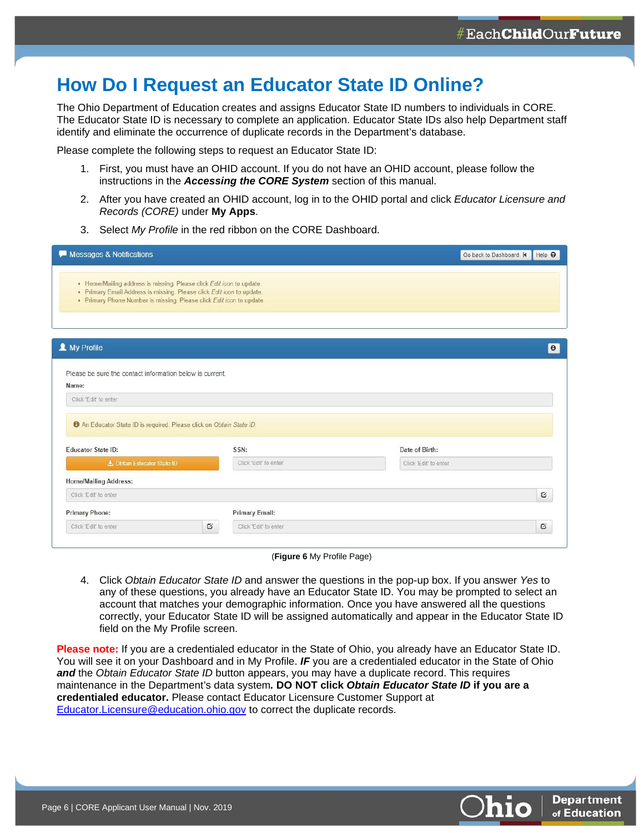### <span id="page-6-0"></span>**How Do I Request an Educator State ID Online?**

The Ohio Department of Education creates and assigns Educator State ID numbers to individuals in CORE. The Educator State ID is necessary to complete an application. Educator State IDs also help Department staff identify and eliminate the occurrence of duplicate records in the Department's database.

Please complete the following steps to request an Educator State ID:

- 1. First, you must have an OHID account. If you do not have an OHID account, please follow the instructions in the *Accessing the CORE System* section of this manual.
- 2. After you have created an OHID account, log in to the OHID portal and click *Educator Licensure and Records (CORE)* under **My Apps**.
- 3. Select *My Profile* in the red ribbon on the CORE Dashboard.

| Messages & Notifications                                                                                                                                                                                              |                       |                       | Go back to Dashboard K | Help <sup>O</sup> |
|-----------------------------------------------------------------------------------------------------------------------------------------------------------------------------------------------------------------------|-----------------------|-----------------------|------------------------|-------------------|
| • Home/Mailing address is missing. Please click Edit icon to update.<br>· Primary Email Address is missing. Please click Edit icon to update.<br>· Primary Phone Number is missing. Please click Edit icon to update. |                       |                       |                        |                   |
| A My Profile                                                                                                                                                                                                          |                       |                       |                        | $\bullet$         |
| Please be sure the contact information below is current.                                                                                                                                                              |                       |                       |                        |                   |
| Name:                                                                                                                                                                                                                 |                       |                       |                        |                   |
| Click 'Edit' to enter                                                                                                                                                                                                 |                       |                       |                        |                   |
|                                                                                                                                                                                                                       |                       |                       |                        |                   |
| <b>O</b> An Educator State ID is required. Please click on Obtain State ID.<br><b>Educator State ID:</b>                                                                                                              | SSN:                  | Date of Birth:        |                        |                   |
| 上 Obtain Educator State ID                                                                                                                                                                                            | Click 'Edit' to enter | Click 'Edit' to enter |                        |                   |
| Home/Mailing Address:                                                                                                                                                                                                 |                       |                       |                        |                   |
| Click 'Edit' to enter                                                                                                                                                                                                 |                       |                       |                        | Q                 |
| <b>Primary Phone:</b>                                                                                                                                                                                                 | <b>Primary Email:</b> |                       |                        |                   |

(**Figure 6** My Profile Page)

4. Click *Obtain Educator State ID* and answer the questions in the pop-up box. If you answer *Yes* to any of these questions, you already have an Educator State ID. You may be prompted to select an account that matches your demographic information. Once you have answered all the questions correctly, your Educator State ID will be assigned automatically and appear in the Educator State ID field on the My Profile screen.

**Please note:** If you are a credentialed educator in the State of Ohio, you already have an Educator State ID. You will see it on your Dashboard and in My Profile. *IF* you are a credentialed educator in the State of Ohio *and* the *Obtain Educator State ID* button appears, you may have a duplicate record. This requires maintenance in the Department's data system*.* **DO NOT click** *Obtain Educator State ID* **if you are a credentialed educator.** Please contact Educator Licensure Customer Support at [Educator.Licensure@education.ohio.gov](mailto:Educator.Licensure@education.ohio.gov) to correct the duplicate records.

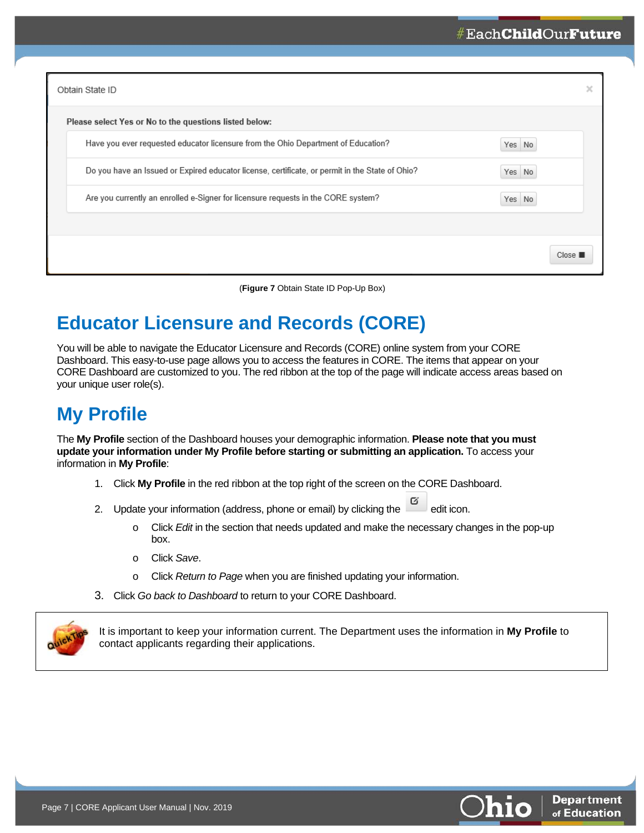| Obtain State ID                                                                                 |        |         |
|-------------------------------------------------------------------------------------------------|--------|---------|
| Please select Yes or No to the questions listed below:                                          |        |         |
| Have you ever requested educator licensure from the Ohio Department of Education?               | Yes No |         |
| Do you have an Issued or Expired educator license, certificate, or permit in the State of Ohio? | Yes No |         |
| Are you currently an enrolled e-Signer for licensure requests in the CORE system?               | Yes No |         |
|                                                                                                 |        |         |
|                                                                                                 |        | Close I |

(**Figure 7** Obtain State ID Pop-Up Box)

# <span id="page-7-0"></span>**Educator Licensure and Records (CORE)**

You will be able to navigate the Educator Licensure and Records (CORE) online system from your CORE Dashboard. This easy-to-use page allows you to access the features in CORE. The items that appear on your CORE Dashboard are customized to you. The red ribbon at the top of the page will indicate access areas based on your unique user role(s).

# <span id="page-7-1"></span>**My Profile**

The **My Profile** section of the Dashboard houses your demographic information. **Please note that you must update your information under My Profile before starting or submitting an application.** To access your information in **My Profile**:

- 1. Click **My Profile** in the red ribbon at the top right of the screen on the CORE Dashboard.
- 2. Update your information (address, phone or email) by clicking the  $\Box$  edit icon.
	- o Click *Edit* in the section that needs updated and make the necessary changes in the pop-up box.
	- o Click *Save*.
	- o Click *Return to Page* when you are finished updating your information.
- 3. Click *Go back to Dashboard* to return to your CORE Dashboard.



It is important to keep your information current. The Department uses the information in **My Profile** to contact applicants regarding their applications.



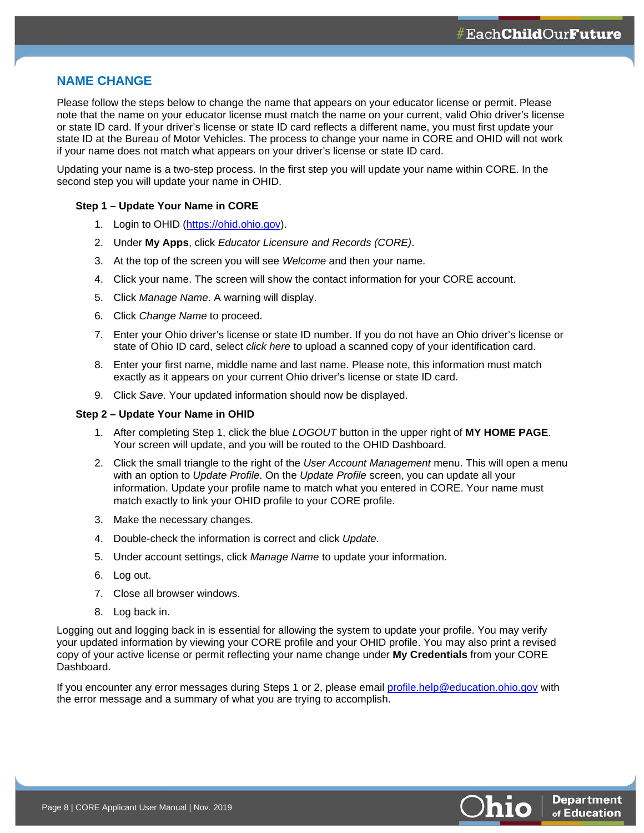#### <span id="page-8-0"></span>**NAME CHANGE**

Please follow the steps below to change the name that appears on your educator license or permit. Please note that the name on your educator license must match the name on your current, valid Ohio driver's license or state ID card. If your driver's license or state ID card reflects a different name, you must first update your state ID at the Bureau of Motor Vehicles. The process to change your name in CORE and OHID will not work if your name does not match what appears on your driver's license or state ID card.

Updating your name is a two-step process. In the first step you will update your name within CORE. In the second step you will update your name in OHID.

#### **Step 1 – Update Your Name in CORE**

- 1. Login to OHID [\(https://ohid.ohio.gov\)](https://ohid.ohio.gov/).
- 2. Under **My Apps**, click *Educator Licensure and Records (CORE)*.
- 3. At the top of the screen you will see *Welcome* and then your name.
- 4. Click your name. The screen will show the contact information for your CORE account.
- 5. Click *Manage Name*. A warning will display.
- 6. Click *Change Name* to proceed.
- 7. Enter your Ohio driver's license or state ID number. If you do not have an Ohio driver's license or state of Ohio ID card, select *click here* to upload a scanned copy of your identification card.
- 8. Enter your first name, middle name and last name. Please note, this information must match exactly as it appears on your current Ohio driver's license or state ID card.
- 9. Click *Save*. Your updated information should now be displayed.

#### **Step 2 – Update Your Name in OHID**

- 1. After completing Step 1, click the blue *LOGOUT* button in the upper right of **MY HOME PAGE**. Your screen will update, and you will be routed to the OHID Dashboard.
- 2. Click the small triangle to the right of the *User Account Management* menu. This will open a menu with an option to *Update Profile*. On the *Update Profile* screen, you can update all your information. Update your profile name to match what you entered in CORE. Your name must match exactly to link your OHID profile to your CORE profile.
- 3. Make the necessary changes.
- 4. Double-check the information is correct and click *Update*.
- 5. Under account settings, click *Manage Name* to update your information.
- 6. Log out.
- 7. Close all browser windows.
- 8. Log back in.

Logging out and logging back in is essential for allowing the system to update your profile. You may verify your updated information by viewing your CORE profile and your OHID profile. You may also print a revised copy of your active license or permit reflecting your name change under **My Credentials** from your CORE Dashboard.

If you encounter any error messages during Steps 1 or 2, please email [profile.help@education.ohio.gov](mailto:profile.help@education.ohio.gov) with the error message and a summary of what you are trying to accomplish.

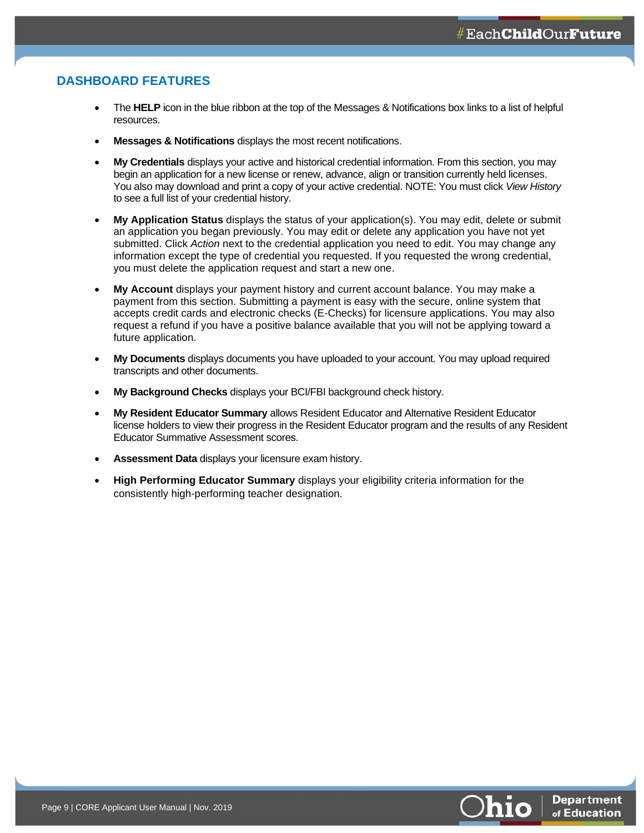#### <span id="page-9-0"></span>**DASHBOARD FEATURES**

- The **HELP** icon in the blue ribbon at the top of the Messages & Notifications box links to a list of helpful resources.
- **Messages & Notifications** displays the most recent notifications.
- **My Credentials** displays your active and historical credential information. From this section, you may begin an application for a new license or renew, advance, align or transition currently held licenses. You also may download and print a copy of your active credential. NOTE: You must click *View History* to see a full list of your credential history.
- **My Application Status** displays the status of your application(s). You may edit, delete or submit an application you began previously. You may edit or delete any application you have not yet submitted. Click *Action* next to the credential application you need to edit. You may change any information except the type of credential you requested. If you requested the wrong credential, you must delete the application request and start a new one.
- **My Account** displays your payment history and current account balance. You may make a payment from this section. Submitting a payment is easy with the secure, online system that accepts credit cards and electronic checks (E-Checks) for licensure applications. You may also request a refund if you have a positive balance available that you will not be applying toward a future application.
- **My Documents** displays documents you have uploaded to your account. You may upload required transcripts and other documents.
- **My Background Checks** displays your BCI/FBI background check history.
- **My Resident Educator Summary** allows Resident Educator and Alternative Resident Educator license holders to view their progress in the Resident Educator program and the results of any Resident Educator Summative Assessment scores.
- **Assessment Data** displays your licensure exam history.
- **High Performing Educator Summary** displays your eligibility criteria information for the consistently high-performing teacher designation.

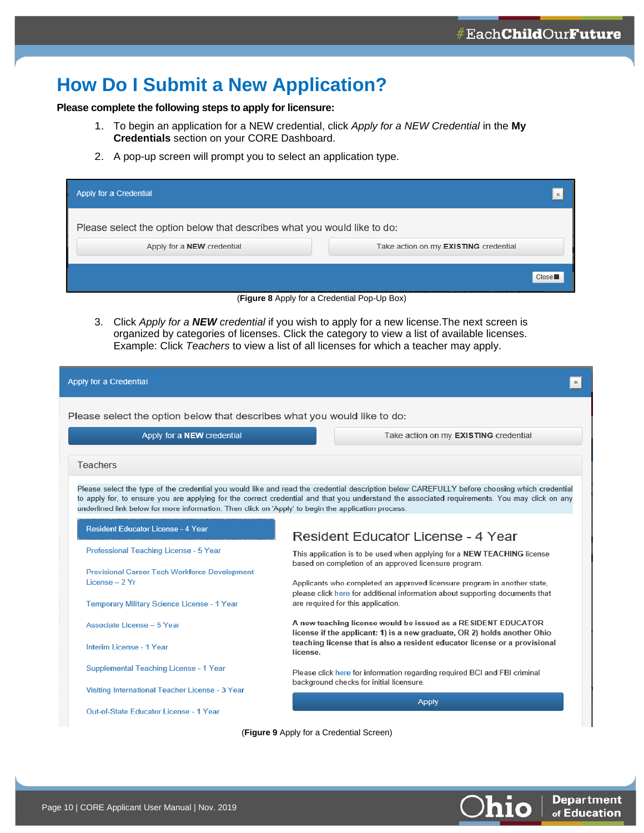## <span id="page-10-0"></span>**How Do I Submit a New Application?**

#### **Please complete the following steps to apply for licensure:**

- 1. To begin an application for a NEW credential, click *Apply for a NEW Credential* in the **My Credentials** section on your CORE Dashboard.
- 2. A pop-up screen will prompt you to select an application type.

| Apply for a Credential                                                   | $\times$                                     |
|--------------------------------------------------------------------------|----------------------------------------------|
| Please select the option below that describes what you would like to do: |                                              |
| Apply for a <b>NEW</b> credential                                        | Take action on my <b>EXISTING</b> credential |
|                                                                          |                                              |
|                                                                          | Close <sup>1</sup>                           |
|                                                                          | (Figure 8 Apply for a Credential Pop-Up Box) |

3. Click *Apply for a NEW credential* if you wish to apply for a new license.The next screen is organized by categories of licenses. Click the category to view a list of available licenses. Example: Click *Teachers* to view a list of all licenses for which a teacher may apply.

| Apply for a Credential                                                                              |                                                                                                                                                                                                                                                                                               |  |  |
|-----------------------------------------------------------------------------------------------------|-----------------------------------------------------------------------------------------------------------------------------------------------------------------------------------------------------------------------------------------------------------------------------------------------|--|--|
| Please select the option below that describes what you would like to do:                            |                                                                                                                                                                                                                                                                                               |  |  |
| Apply for a <b>NEW</b> credential                                                                   | Take action on my EXISTING credential                                                                                                                                                                                                                                                         |  |  |
| Teachers                                                                                            |                                                                                                                                                                                                                                                                                               |  |  |
| underlined link below for more information. Then click on 'Apply' to begin the application process. | Please select the type of the credential you would like and read the credential description below CAREFULLY before choosing which credential<br>to apply for, to ensure you are applying for the correct credential and that you understand the associated requirements. You may click on any |  |  |
| <b>Resident Educator License - 4 Year</b>                                                           | <b>Resident Educator License - 4 Year</b>                                                                                                                                                                                                                                                     |  |  |
| Professional Teaching License - 5 Year                                                              | This application is to be used when applying for a NEW TEACHING license<br>based on completion of an approved licensure program.                                                                                                                                                              |  |  |
| <b>Provisional Career Tech Workforce Development</b><br>$l$ icense $-2$ Yr                          | Applicants who completed an approved licensure program in another state,<br>please click here for additional information about supporting documents that                                                                                                                                      |  |  |
| Temporary Military Science License - 1 Year                                                         | are required for this application.                                                                                                                                                                                                                                                            |  |  |
| Associate License - 5 Year                                                                          | A new teaching license would be issued as a RESIDENT EDUCATOR<br>license if the applicant: 1) is a new graduate, OR 2) holds another Ohio                                                                                                                                                     |  |  |
| Interim License - 1 Year                                                                            | teaching license that is also a resident educator license or a provisional<br>license.                                                                                                                                                                                                        |  |  |
| Supplemental Teaching License - 1 Year                                                              | Please click here for information regarding required BCI and FBI criminal<br>background checks for initial licensure.                                                                                                                                                                         |  |  |
| Visiting International Teacher License - 3 Year                                                     |                                                                                                                                                                                                                                                                                               |  |  |
| Out-of-State Educator License - 1 Year                                                              | <b>Apply</b>                                                                                                                                                                                                                                                                                  |  |  |

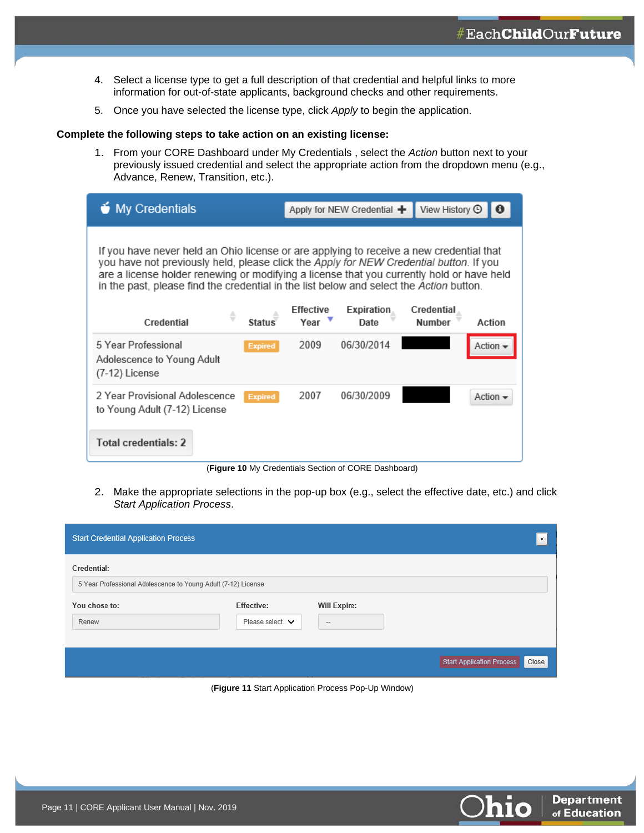- 4. Select a license type to get a full description of that credential and helpful links to more information for out-of-state applicants, background checks and other requirements.
- 5. Once you have selected the license type, click *Apply* to begin the application.

#### **Complete the following steps to take action on an existing license:**

1. From your CORE Dashboard under My Credentials , select the *Action* button next to your previously issued credential and select the appropriate action from the dropdown menu (e.g., Advance, Renew, Transition, etc.).

| <b>My Credentials</b>                                                                 | View History $\odot$<br>Apply for NEW Credential $+$                                                                                                                                                                                                                                                                                                                                                                                                            |  |
|---------------------------------------------------------------------------------------|-----------------------------------------------------------------------------------------------------------------------------------------------------------------------------------------------------------------------------------------------------------------------------------------------------------------------------------------------------------------------------------------------------------------------------------------------------------------|--|
| ♦<br><b>Status</b><br>Credential                                                      | If you have never held an Ohio license or are applying to receive a new credential that<br>you have not previously held, please click the Apply for NEW Credential button. If you<br>are a license holder renewing or modifying a license that you currently hold or have held<br>in the past, please find the credential in the list below and select the Action button.<br>Effective<br>Credential<br>Expiration<br>Year <b>V</b><br>Number<br>Action<br>Date |  |
| 5 Year Professional<br><b>Expired</b><br>Adolescence to Young Adult<br>(7-12) License | 06/30/2014<br>2009<br>Action -                                                                                                                                                                                                                                                                                                                                                                                                                                  |  |
| 2 Year Provisional Adolescence<br><b>Expired</b><br>to Young Adult (7-12) License     | 2007<br>06/30/2009<br>Action $\sim$                                                                                                                                                                                                                                                                                                                                                                                                                             |  |
| Total credentials: 2                                                                  |                                                                                                                                                                                                                                                                                                                                                                                                                                                                 |  |

(**Figure 10** My Credentials Section of CORE Dashboard)

2. Make the appropriate selections in the pop-up box (e.g., select the effective date, etc.) and click *Start Application Process*.

| <b>Start Credential Application Process</b>                                  |                                       |                               | $\,\mathrm{x}$                            |
|------------------------------------------------------------------------------|---------------------------------------|-------------------------------|-------------------------------------------|
| Credential:<br>5 Year Professional Adolescence to Young Adult (7-12) License |                                       |                               |                                           |
| You chose to:<br>Renew                                                       | <b>Effective:</b><br>Please select. V | <b>Will Expire:</b><br>$\sim$ |                                           |
|                                                                              |                                       |                               | <b>Start Application Process</b><br>Close |

<span id="page-11-0"></span>(**Figure 11** Start Application Process Pop-Up Window)

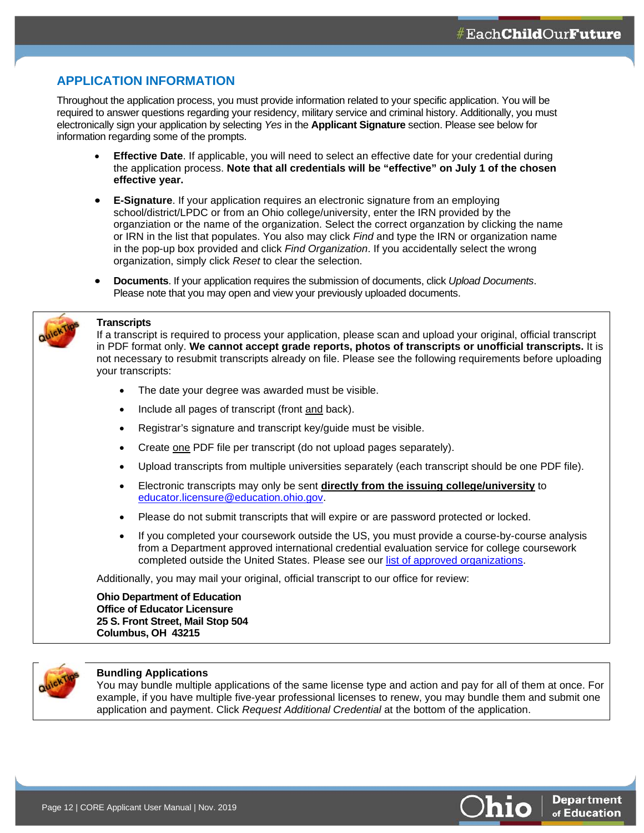#### **APPLICATION INFORMATION**

Throughout the application process, you must provide information related to your specific application. You will be required to answer questions regarding your residency, military service and criminal history. Additionally, you must electronically sign your application by selecting *Yes* in the **Applicant Signature** section. Please see below for information regarding some of the prompts.

- **Effective Date**. If applicable, you will need to select an effective date for your credential during the application process. **Note that all credentials will be "effective" on July 1 of the chosen effective year.**
- **E-Signature**. If your application requires an electronic signature from an employing school/district/LPDC or from an Ohio college/university, enter the IRN provided by the organziation or the name of the organization. Select the correct organzation by clicking the name or IRN in the list that populates. You also may click *Find* and type the IRN or organization name in the pop-up box provided and click *Find Organization*. If you accidentally select the wrong organization, simply click *Reset* to clear the selection.
- **Documents**. If your application requires the submission of documents, click *Upload Documents*. Please note that you may open and view your previously uploaded documents.



#### **Transcripts**

If a transcript is required to process your application, please scan and upload your original, official transcript in PDF format only. **We cannot accept grade reports, photos of transcripts or unofficial transcripts.** It is not necessary to resubmit transcripts already on file. Please see the following requirements before uploading your transcripts:

- The date your degree was awarded must be visible.
- Include all pages of transcript (front and back).
- Registrar's signature and transcript key/guide must be visible.
- Create one PDF file per transcript (do not upload pages separately).
- Upload transcripts from multiple universities separately (each transcript should be one PDF file).
- Electronic transcripts may only be sent **directly from the issuing college/university** to [educator.licensure@education.ohio.gov.](mailto:educator.licensure@education.ohio.gov)
- Please do not submit transcripts that will expire or are password protected or locked.
- If you completed your coursework outside the US, you must provide a course-by-course analysis from a Department approved international credential evaluation service for college coursework completed outside the United States. Please see our [list of approved organizations.](http://education.ohio.gov/getattachment/Topics/Teaching/Licensure/Out-of-State-Licensure/LIST-OF-INTERNATIONAL-CREDENTIAL-EVALUATORS.pdf.aspx?lang=en-US)

Additionally, you may mail your original, official transcript to our office for review:

**Ohio Department of Education Office of Educator Licensure 25 S. Front Street, Mail Stop 504 Columbus, OH 43215**



#### **Bundling Applications**

You may bundle multiple applications of the same license type and action and pay for all of them at once. For example, if you have multiple five-year professional licenses to renew, you may bundle them and submit one application and payment. Click *Request Additional Credential* at the bottom of the application.

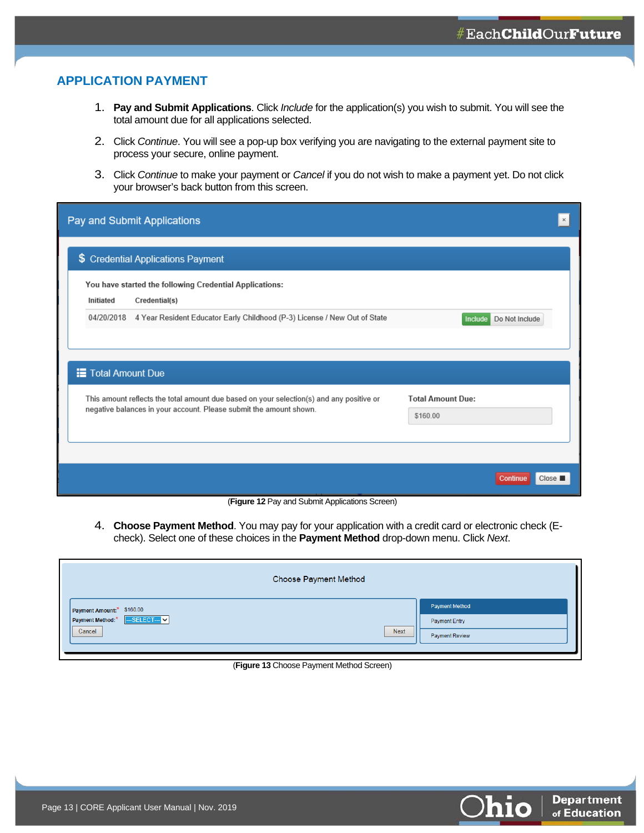#### <span id="page-13-0"></span>**APPLICATION PAYMENT**

- 1. **Pay and Submit Applications**. Click *Include* for the application(s) you wish to submit. You will see the total amount due for all applications selected.
- 2. Click *Continue*. You will see a pop-up box verifying you are navigating to the external payment site to process your secure, online payment.
- 3. Click *Continue* to make your payment or *Cancel* if you do not wish to make a payment yet. Do not click your browser's back button from this screen.

| Pay and Submit Applications                                                              |                           |
|------------------------------------------------------------------------------------------|---------------------------|
| \$ Credential Applications Payment                                                       |                           |
| You have started the following Credential Applications:<br>Initiated<br>Credential(s)    |                           |
| 04/20/2018 4 Year Resident Educator Early Childhood (P-3) License / New Out of State     | Do Not Include<br>Include |
|                                                                                          |                           |
| <b>E</b> Total Amount Due                                                                |                           |
| This amount reflects the total amount due based on your selection(s) and any positive or | <b>Total Amount Due:</b>  |
| negative balances in your account. Please submit the amount shown.                       | \$160.00                  |
|                                                                                          |                           |
|                                                                                          |                           |
|                                                                                          | Continue<br>Close I       |

(**Figure 12** Pay and Submit Applications Screen)

4. **Choose Payment Method**. You may pay for your application with a credit card or electronic check (Echeck). Select one of these choices in the **Payment Method** drop-down menu. Click *Next*.

| Choose Payment Method                  |                       |  |
|----------------------------------------|-----------------------|--|
| Payment Amount:* \$160.00              | <b>Payment Method</b> |  |
| <b>N</b> -SELECT-V<br>Payment Method:* | Payment Entry         |  |
| <b>Next</b><br>Cancel<br>Ш             | Payment Review        |  |
|                                        |                       |  |

#### (**Figure 13** Choose Payment Method Screen)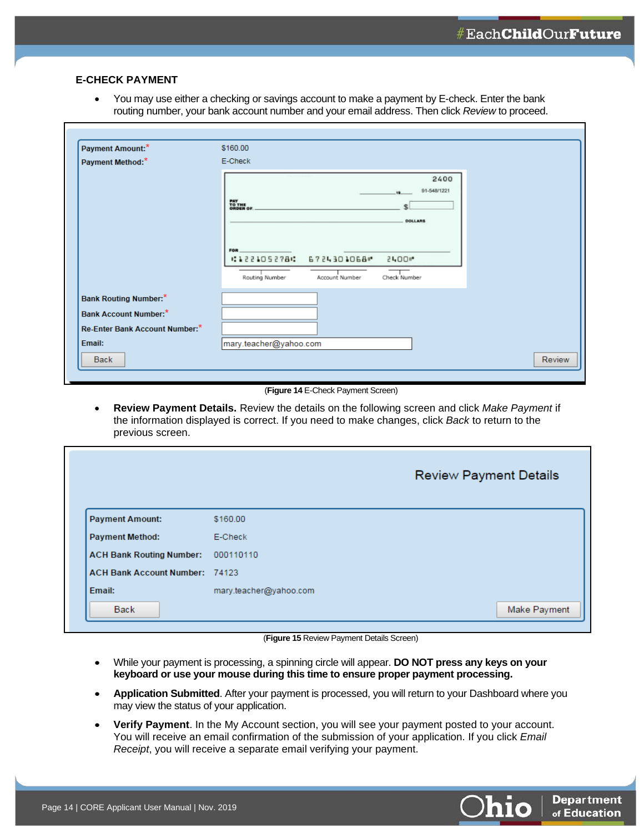#### <span id="page-14-0"></span>**E-CHECK PAYMENT**

• You may use either a checking or savings account to make a payment by E-check. Enter the bank routing number, your bank account number and your email address. Then click *Review* to proceed.

| Payment Amount:*               | \$160.00                                                                                         |
|--------------------------------|--------------------------------------------------------------------------------------------------|
| Payment Method:*               | E-Check                                                                                          |
|                                | 2400<br>91-548/1221<br>$\bullet$<br>PAY<br>TO THE<br>ORDER OF<br><b>DOLLARS</b>                  |
|                                | FOR.<br>#122105278 : 6724301068<br>51.00 lin<br>Check Number<br>Routing Number<br>Account Number |
| <b>Bank Routing Number:</b> *  |                                                                                                  |
| <b>Bank Account Number:</b> *  |                                                                                                  |
| Re-Enter Bank Account Number:* |                                                                                                  |
| Email:                         | mary.teacher@yahoo.com                                                                           |
| Back                           | Review                                                                                           |

#### (**Figure 14** E-Check Payment Screen)

• **Review Payment Details.** Review the details on the following screen and click *Make Payment* if the information displayed is correct. If you need to make changes, click *Back* to return to the previous screen.

|                                       |                        | <b>Review Payment Details</b> |
|---------------------------------------|------------------------|-------------------------------|
| <b>Payment Amount:</b>                | \$160.00               |                               |
| <b>Payment Method:</b>                | E-Check                |                               |
| <b>ACH Bank Routing Number:</b>       | 000110110              |                               |
| <b>ACH Bank Account Number: 74123</b> |                        |                               |
| Email:                                | mary.teacher@yahoo.com |                               |
| <b>Back</b>                           |                        | Make Payment                  |

(**Figure 15** Review Payment Details Screen)

- While your payment is processing, a spinning circle will appear. **DO NOT press any keys on your keyboard or use your mouse during this time to ensure proper payment processing.**
- **Application Submitted**. After your payment is processed, you will return to your Dashboard where you may view the status of your application.
- **Verify Payment**. In the My Account section, you will see your payment posted to your account. You will receive an email confirmation of the submission of your application. If you click *Email Receipt*, you will receive a separate email verifying your payment.

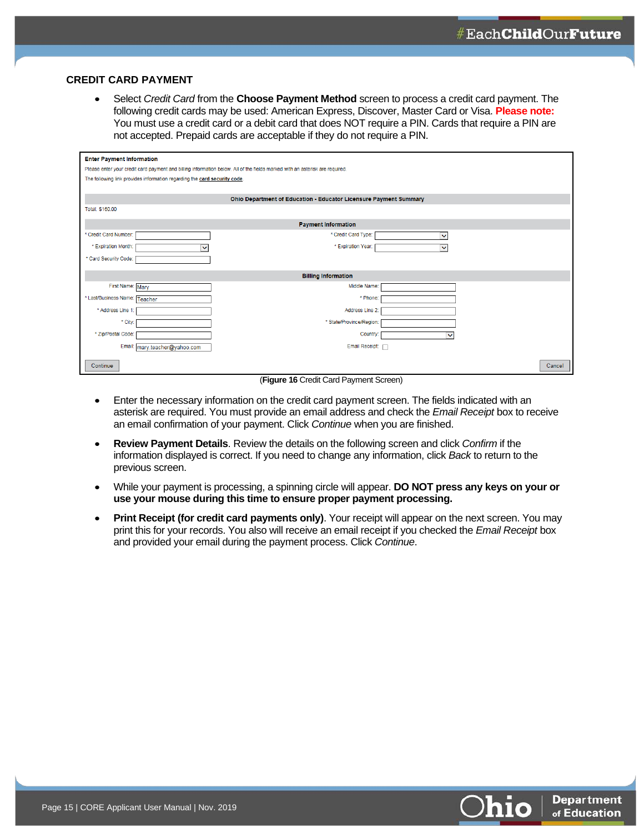#### <span id="page-15-0"></span>**CREDIT CARD PAYMENT**

• Select *Credit Card* from the **Choose Payment Method** screen to process a credit card payment. The following credit cards may be used: American Express, Discover, Master Card or Visa. **Please note:** You must use a credit card or a debit card that does NOT require a PIN. Cards that require a PIN are not accepted. Prepaid cards are acceptable if they do not require a PIN.

| <b>Enter Payment Information</b>                                                                                             |                                                                           |              |  |  |
|------------------------------------------------------------------------------------------------------------------------------|---------------------------------------------------------------------------|--------------|--|--|
| Please enter your credit card payment and billing information below. All of the fields marked with an asterisk are required. |                                                                           |              |  |  |
|                                                                                                                              | The following link provides information regarding the card security code. |              |  |  |
|                                                                                                                              |                                                                           |              |  |  |
| Ohio Department of Education - Educator Licensure Payment Summary                                                            |                                                                           |              |  |  |
| Total: \$160.00                                                                                                              |                                                                           |              |  |  |
| <b>Payment Information</b>                                                                                                   |                                                                           |              |  |  |
| * Credit Card Number:                                                                                                        | * Credit Card Type:                                                       | Ÿ            |  |  |
| * Expiration Month:<br>◡                                                                                                     | * Expiration Year:                                                        | $\checkmark$ |  |  |
| * Card Security Code:                                                                                                        |                                                                           |              |  |  |
|                                                                                                                              |                                                                           |              |  |  |
|                                                                                                                              | <b>Billing Information</b>                                                |              |  |  |
| First Name: Mary                                                                                                             | Middle Name:                                                              |              |  |  |
| * Last/Business Name: Teacher                                                                                                | * Phone:                                                                  |              |  |  |
| * Address Line 1:                                                                                                            | Address Line 2:                                                           |              |  |  |
| * City:                                                                                                                      | * State/Province/Region:                                                  |              |  |  |
| * Zip/Postal Code:                                                                                                           | Country:                                                                  | $\checkmark$ |  |  |
| Email:<br>mary.teacher@yahoo.com                                                                                             | Email Receipt: 7                                                          |              |  |  |
| Continue                                                                                                                     |                                                                           | Cancel       |  |  |

(**Figure 16** Credit Card Payment Screen)

- Enter the necessary information on the credit card payment screen. The fields indicated with an asterisk are required. You must provide an email address and check the *Email Receipt* box to receive an email confirmation of your payment. Click *Continue* when you are finished.
- **Review Payment Details**. Review the details on the following screen and click *Confirm* if the information displayed is correct. If you need to change any information, click *Back* to return to the previous screen.
- While your payment is processing, a spinning circle will appear. **DO NOT press any keys on your or use your mouse during this time to ensure proper payment processing.**
- **Print Receipt (for credit card payments only)**. Your receipt will appear on the next screen. You may print this for your records. You also will receive an email receipt if you checked the *Email Receipt* box and provided your email during the payment process. Click *Continue*.